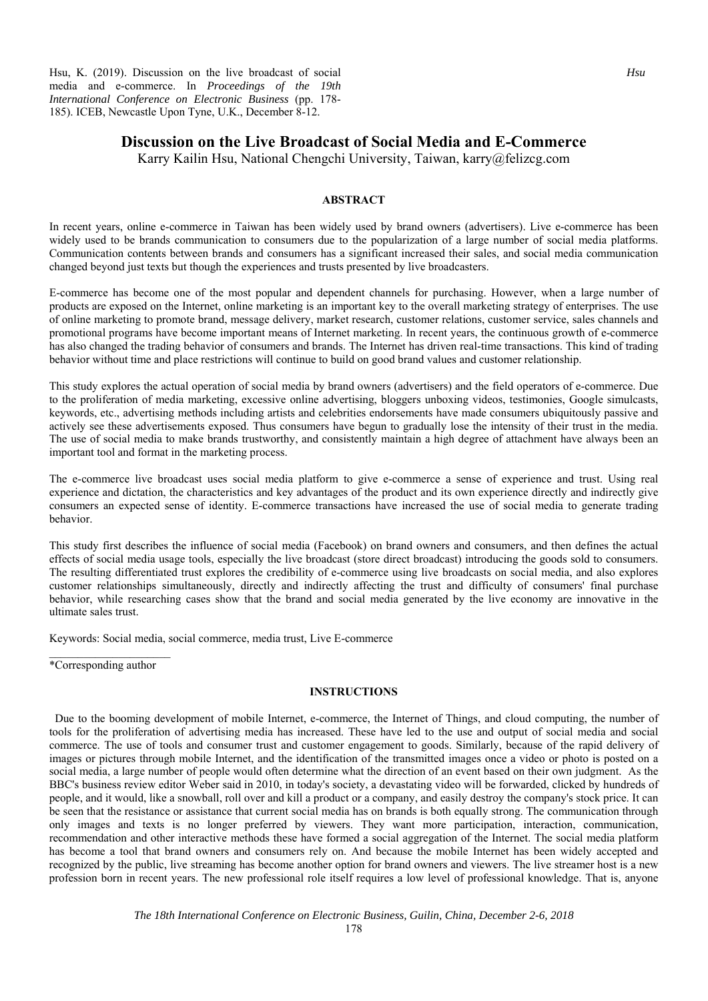Hsu, K. (2019). Discussion on the live broadcast of social media and e-commerce. In *Proceedings of the 19th International Conference on Electronic Business* (pp. 178- 185). ICEB, Newcastle Upon Tyne, U.K., December 8-12.

# **Discussion on the Live Broadcast of Social Media and E-Commerce**

Karry Kailin Hsu, National Chengchi University, Taiwan, karry@felizcg.com

# **ABSTRACT**

In recent years, online e-commerce in Taiwan has been widely used by brand owners (advertisers). Live e-commerce has been widely used to be brands communication to consumers due to the popularization of a large number of social media platforms. Communication contents between brands and consumers has a significant increased their sales, and social media communication changed beyond just texts but though the experiences and trusts presented by live broadcasters.

E-commerce has become one of the most popular and dependent channels for purchasing. However, when a large number of products are exposed on the Internet, online marketing is an important key to the overall marketing strategy of enterprises. The use of online marketing to promote brand, message delivery, market research, customer relations, customer service, sales channels and promotional programs have become important means of Internet marketing. In recent years, the continuous growth of e-commerce has also changed the trading behavior of consumers and brands. The Internet has driven real-time transactions. This kind of trading behavior without time and place restrictions will continue to build on good brand values and customer relationship.

This study explores the actual operation of social media by brand owners (advertisers) and the field operators of e-commerce. Due to the proliferation of media marketing, excessive online advertising, bloggers unboxing videos, testimonies, Google simulcasts, keywords, etc., advertising methods including artists and celebrities endorsements have made consumers ubiquitously passive and actively see these advertisements exposed. Thus consumers have begun to gradually lose the intensity of their trust in the media. The use of social media to make brands trustworthy, and consistently maintain a high degree of attachment have always been an important tool and format in the marketing process.

The e-commerce live broadcast uses social media platform to give e-commerce a sense of experience and trust. Using real experience and dictation, the characteristics and key advantages of the product and its own experience directly and indirectly give consumers an expected sense of identity. E-commerce transactions have increased the use of social media to generate trading behavior.

This study first describes the influence of social media (Facebook) on brand owners and consumers, and then defines the actual effects of social media usage tools, especially the live broadcast (store direct broadcast) introducing the goods sold to consumers. The resulting differentiated trust explores the credibility of e-commerce using live broadcasts on social media, and also explores customer relationships simultaneously, directly and indirectly affecting the trust and difficulty of consumers' final purchase behavior, while researching cases show that the brand and social media generated by the live economy are innovative in the ultimate sales trust.

Keywords: Social media, social commerce, media trust, Live E-commerce

\*Corresponding author

# **INSTRUCTIONS**

Due to the booming development of mobile Internet, e-commerce, the Internet of Things, and cloud computing, the number of tools for the proliferation of advertising media has increased. These have led to the use and output of social media and social commerce. The use of tools and consumer trust and customer engagement to goods. Similarly, because of the rapid delivery of images or pictures through mobile Internet, and the identification of the transmitted images once a video or photo is posted on a social media, a large number of people would often determine what the direction of an event based on their own judgment. As the BBC's business review editor Weber said in 2010, in today's society, a devastating video will be forwarded, clicked by hundreds of people, and it would, like a snowball, roll over and kill a product or a company, and easily destroy the company's stock price. It can be seen that the resistance or assistance that current social media has on brands is both equally strong. The communication through only images and texts is no longer preferred by viewers. They want more participation, interaction, communication, recommendation and other interactive methods these have formed a social aggregation of the Internet. The social media platform has become a tool that brand owners and consumers rely on. And because the mobile Internet has been widely accepted and recognized by the public, live streaming has become another option for brand owners and viewers. The live streamer host is a new profession born in recent years. The new professional role itself requires a low level of professional knowledge. That is, anyone

*The 18th International Conference on Electronic Business, Guilin, China, December 2-6, 2018* 

178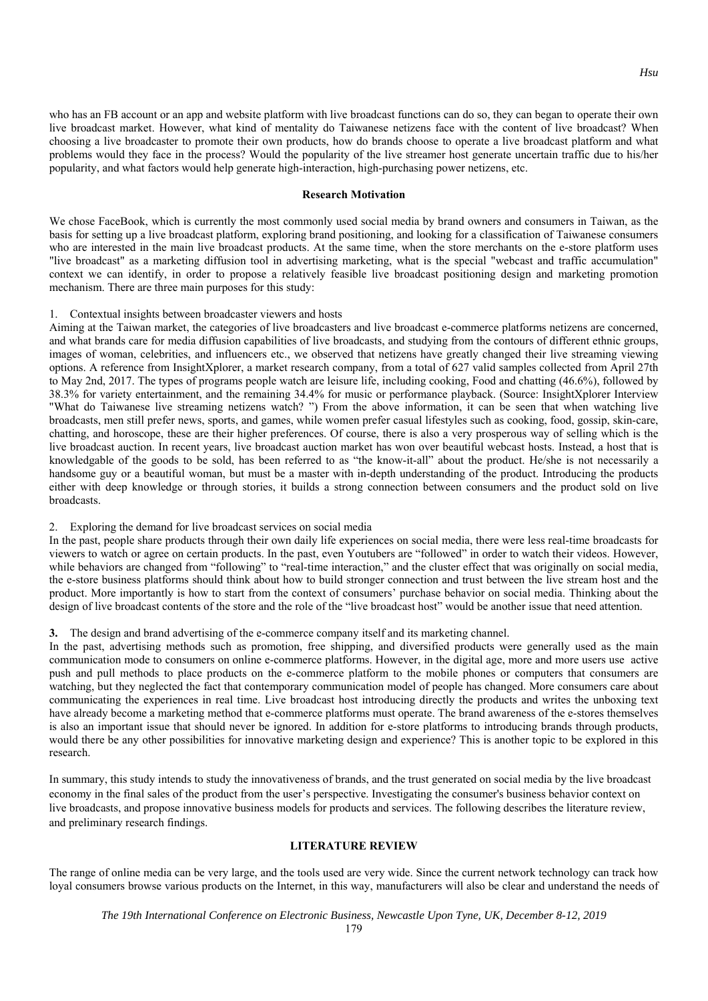who has an FB account or an app and website platform with live broadcast functions can do so, they can began to operate their own live broadcast market. However, what kind of mentality do Taiwanese netizens face with the content of live broadcast? When choosing a live broadcaster to promote their own products, how do brands choose to operate a live broadcast platform and what problems would they face in the process? Would the popularity of the live streamer host generate uncertain traffic due to his/her popularity, and what factors would help generate high-interaction, high-purchasing power netizens, etc.

### **Research Motivation**

We chose FaceBook, which is currently the most commonly used social media by brand owners and consumers in Taiwan, as the basis for setting up a live broadcast platform, exploring brand positioning, and looking for a classification of Taiwanese consumers who are interested in the main live broadcast products. At the same time, when the store merchants on the e-store platform uses "live broadcast" as a marketing diffusion tool in advertising marketing, what is the special "webcast and traffic accumulation" context we can identify, in order to propose a relatively feasible live broadcast positioning design and marketing promotion mechanism. There are three main purposes for this study:

### 1. Contextual insights between broadcaster viewers and hosts

Aiming at the Taiwan market, the categories of live broadcasters and live broadcast e-commerce platforms netizens are concerned, and what brands care for media diffusion capabilities of live broadcasts, and studying from the contours of different ethnic groups, images of woman, celebrities, and influencers etc., we observed that netizens have greatly changed their live streaming viewing options. A reference from InsightXplorer, a market research company, from a total of 627 valid samples collected from April 27th to May 2nd, 2017. The types of programs people watch are leisure life, including cooking, Food and chatting (46.6%), followed by 38.3% for variety entertainment, and the remaining 34.4% for music or performance playback. (Source: InsightXplorer Interview "What do Taiwanese live streaming netizens watch? ") From the above information, it can be seen that when watching live broadcasts, men still prefer news, sports, and games, while women prefer casual lifestyles such as cooking, food, gossip, skin-care, chatting, and horoscope, these are their higher preferences. Of course, there is also a very prosperous way of selling which is the live broadcast auction. In recent years, live broadcast auction market has won over beautiful webcast hosts. Instead, a host that is knowledgable of the goods to be sold, has been referred to as "the know-it-all" about the product. He/she is not necessarily a handsome guy or a beautiful woman, but must be a master with in-depth understanding of the product. Introducing the products either with deep knowledge or through stories, it builds a strong connection between consumers and the product sold on live broadcasts.

#### 2. Exploring the demand for live broadcast services on social media

In the past, people share products through their own daily life experiences on social media, there were less real-time broadcasts for viewers to watch or agree on certain products. In the past, even Youtubers are "followed" in order to watch their videos. However, while behaviors are changed from "following" to "real-time interaction," and the cluster effect that was originally on social media, the e-store business platforms should think about how to build stronger connection and trust between the live stream host and the product. More importantly is how to start from the context of consumers' purchase behavior on social media. Thinking about the design of live broadcast contents of the store and the role of the "live broadcast host" would be another issue that need attention.

#### **3.** The design and brand advertising of the e-commerce company itself and its marketing channel.

In the past, advertising methods such as promotion, free shipping, and diversified products were generally used as the main communication mode to consumers on online e-commerce platforms. However, in the digital age, more and more users use active push and pull methods to place products on the e-commerce platform to the mobile phones or computers that consumers are watching, but they neglected the fact that contemporary communication model of people has changed. More consumers care about communicating the experiences in real time. Live broadcast host introducing directly the products and writes the unboxing text have already become a marketing method that e-commerce platforms must operate. The brand awareness of the e-stores themselves is also an important issue that should never be ignored. In addition for e-store platforms to introducing brands through products, would there be any other possibilities for innovative marketing design and experience? This is another topic to be explored in this research.

In summary, this study intends to study the innovativeness of brands, and the trust generated on social media by the live broadcast economy in the final sales of the product from the user's perspective. Investigating the consumer's business behavior context on live broadcasts, and propose innovative business models for products and services. The following describes the literature review, and preliminary research findings.

#### **LITERATURE REVIEW**

The range of online media can be very large, and the tools used are very wide. Since the current network technology can track how loyal consumers browse various products on the Internet, in this way, manufacturers will also be clear and understand the needs of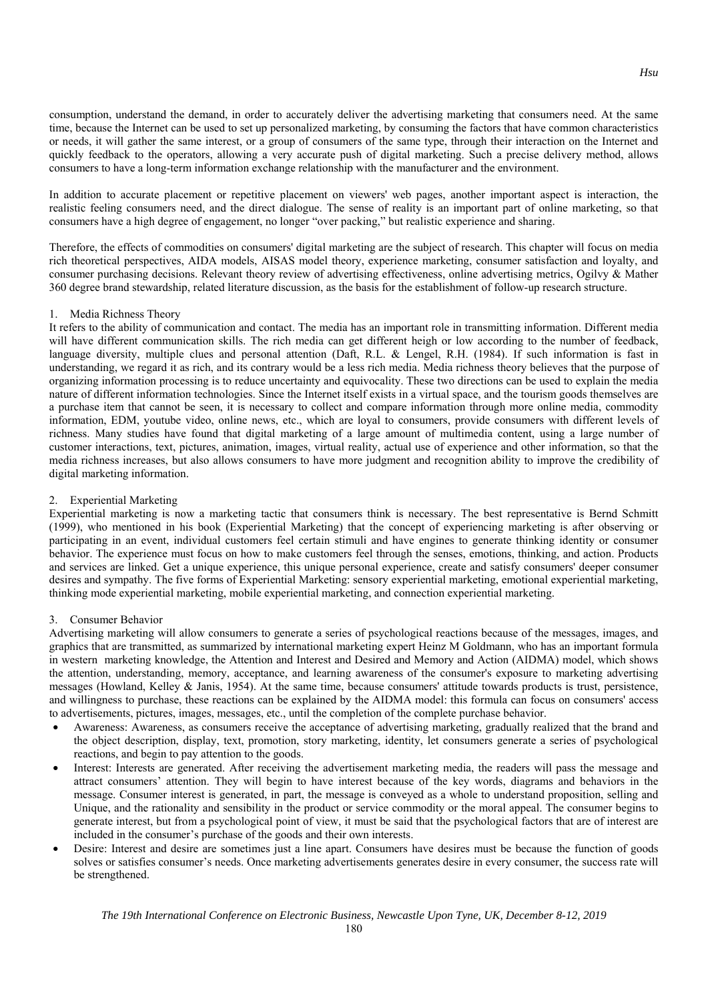consumption, understand the demand, in order to accurately deliver the advertising marketing that consumers need. At the same time, because the Internet can be used to set up personalized marketing, by consuming the factors that have common characteristics or needs, it will gather the same interest, or a group of consumers of the same type, through their interaction on the Internet and quickly feedback to the operators, allowing a very accurate push of digital marketing. Such a precise delivery method, allows consumers to have a long-term information exchange relationship with the manufacturer and the environment.

In addition to accurate placement or repetitive placement on viewers' web pages, another important aspect is interaction, the realistic feeling consumers need, and the direct dialogue. The sense of reality is an important part of online marketing, so that consumers have a high degree of engagement, no longer "over packing," but realistic experience and sharing.

Therefore, the effects of commodities on consumers' digital marketing are the subject of research. This chapter will focus on media rich theoretical perspectives, AIDA models, AISAS model theory, experience marketing, consumer satisfaction and loyalty, and consumer purchasing decisions. Relevant theory review of advertising effectiveness, online advertising metrics, Ogilvy & Mather 360 degree brand stewardship, related literature discussion, as the basis for the establishment of follow-up research structure.

# 1. Media Richness Theory

It refers to the ability of communication and contact. The media has an important role in transmitting information. Different media will have different communication skills. The rich media can get different heigh or low according to the number of feedback, language diversity, multiple clues and personal attention (Daft, R.L. & Lengel, R.H. (1984). If such information is fast in understanding, we regard it as rich, and its contrary would be a less rich media. Media richness theory believes that the purpose of organizing information processing is to reduce uncertainty and equivocality. These two directions can be used to explain the media nature of different information technologies. Since the Internet itself exists in a virtual space, and the tourism goods themselves are a purchase item that cannot be seen, it is necessary to collect and compare information through more online media, commodity information, EDM, youtube video, online news, etc., which are loyal to consumers, provide consumers with different levels of richness. Many studies have found that digital marketing of a large amount of multimedia content, using a large number of customer interactions, text, pictures, animation, images, virtual reality, actual use of experience and other information, so that the media richness increases, but also allows consumers to have more judgment and recognition ability to improve the credibility of digital marketing information.

#### 2. Experiential Marketing

Experiential marketing is now a marketing tactic that consumers think is necessary. The best representative is Bernd Schmitt (1999), who mentioned in his book (Experiential Marketing) that the concept of experiencing marketing is after observing or participating in an event, individual customers feel certain stimuli and have engines to generate thinking identity or consumer behavior. The experience must focus on how to make customers feel through the senses, emotions, thinking, and action. Products and services are linked. Get a unique experience, this unique personal experience, create and satisfy consumers' deeper consumer desires and sympathy. The five forms of Experiential Marketing: sensory experiential marketing, emotional experiential marketing, thinking mode experiential marketing, mobile experiential marketing, and connection experiential marketing.

#### 3. Consumer Behavior

Advertising marketing will allow consumers to generate a series of psychological reactions because of the messages, images, and graphics that are transmitted, as summarized by international marketing expert Heinz M Goldmann, who has an important formula in western marketing knowledge, the Attention and Interest and Desired and Memory and Action (AIDMA) model, which shows the attention, understanding, memory, acceptance, and learning awareness of the consumer's exposure to marketing advertising messages (Howland, Kelley & Janis, 1954). At the same time, because consumers' attitude towards products is trust, persistence, and willingness to purchase, these reactions can be explained by the AIDMA model: this formula can focus on consumers' access to advertisements, pictures, images, messages, etc., until the completion of the complete purchase behavior.

- Awareness: Awareness, as consumers receive the acceptance of advertising marketing, gradually realized that the brand and the object description, display, text, promotion, story marketing, identity, let consumers generate a series of psychological reactions, and begin to pay attention to the goods.
- Interest: Interests are generated. After receiving the advertisement marketing media, the readers will pass the message and attract consumers' attention. They will begin to have interest because of the key words, diagrams and behaviors in the message. Consumer interest is generated, in part, the message is conveyed as a whole to understand proposition, selling and Unique, and the rationality and sensibility in the product or service commodity or the moral appeal. The consumer begins to generate interest, but from a psychological point of view, it must be said that the psychological factors that are of interest are included in the consumer's purchase of the goods and their own interests.
- Desire: Interest and desire are sometimes just a line apart. Consumers have desires must be because the function of goods solves or satisfies consumer's needs. Once marketing advertisements generates desire in every consumer, the success rate will be strengthened.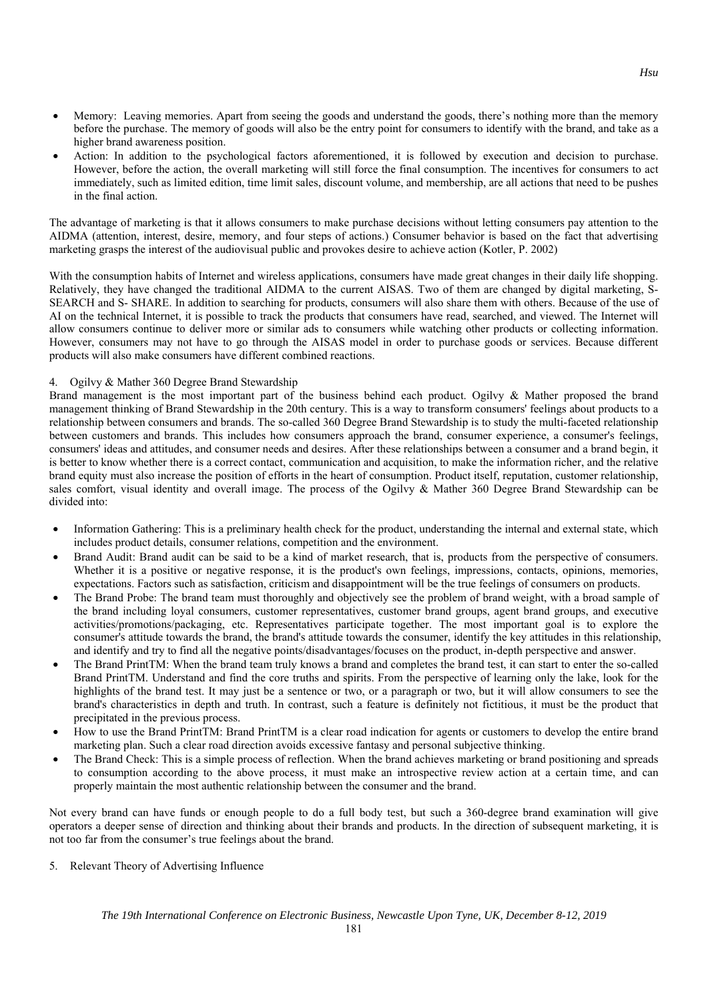- Memory: Leaving memories. Apart from seeing the goods and understand the goods, there's nothing more than the memory before the purchase. The memory of goods will also be the entry point for consumers to identify with the brand, and take as a higher brand awareness position.
- Action: In addition to the psychological factors aforementioned, it is followed by execution and decision to purchase. However, before the action, the overall marketing will still force the final consumption. The incentives for consumers to act immediately, such as limited edition, time limit sales, discount volume, and membership, are all actions that need to be pushes in the final action.

The advantage of marketing is that it allows consumers to make purchase decisions without letting consumers pay attention to the AIDMA (attention, interest, desire, memory, and four steps of actions.) Consumer behavior is based on the fact that advertising marketing grasps the interest of the audiovisual public and provokes desire to achieve action (Kotler, P. 2002)

With the consumption habits of Internet and wireless applications, consumers have made great changes in their daily life shopping. Relatively, they have changed the traditional AIDMA to the current AISAS. Two of them are changed by digital marketing, S-SEARCH and S- SHARE. In addition to searching for products, consumers will also share them with others. Because of the use of AI on the technical Internet, it is possible to track the products that consumers have read, searched, and viewed. The Internet will allow consumers continue to deliver more or similar ads to consumers while watching other products or collecting information. However, consumers may not have to go through the AISAS model in order to purchase goods or services. Because different products will also make consumers have different combined reactions.

# 4. Ogilvy & Mather 360 Degree Brand Stewardship

Brand management is the most important part of the business behind each product. Ogilvy & Mather proposed the brand management thinking of Brand Stewardship in the 20th century. This is a way to transform consumers' feelings about products to a relationship between consumers and brands. The so-called 360 Degree Brand Stewardship is to study the multi-faceted relationship between customers and brands. This includes how consumers approach the brand, consumer experience, a consumer's feelings, consumers' ideas and attitudes, and consumer needs and desires. After these relationships between a consumer and a brand begin, it is better to know whether there is a correct contact, communication and acquisition, to make the information richer, and the relative brand equity must also increase the position of efforts in the heart of consumption. Product itself, reputation, customer relationship, sales comfort, visual identity and overall image. The process of the Ogilvy & Mather 360 Degree Brand Stewardship can be divided into:

- Information Gathering: This is a preliminary health check for the product, understanding the internal and external state, which includes product details, consumer relations, competition and the environment.
- Brand Audit: Brand audit can be said to be a kind of market research, that is, products from the perspective of consumers. Whether it is a positive or negative response, it is the product's own feelings, impressions, contacts, opinions, memories, expectations. Factors such as satisfaction, criticism and disappointment will be the true feelings of consumers on products.
- The Brand Probe: The brand team must thoroughly and objectively see the problem of brand weight, with a broad sample of the brand including loyal consumers, customer representatives, customer brand groups, agent brand groups, and executive activities/promotions/packaging, etc. Representatives participate together. The most important goal is to explore the consumer's attitude towards the brand, the brand's attitude towards the consumer, identify the key attitudes in this relationship, and identify and try to find all the negative points/disadvantages/focuses on the product, in-depth perspective and answer.
- The Brand PrintTM: When the brand team truly knows a brand and completes the brand test, it can start to enter the so-called Brand PrintTM. Understand and find the core truths and spirits. From the perspective of learning only the lake, look for the highlights of the brand test. It may just be a sentence or two, or a paragraph or two, but it will allow consumers to see the brand's characteristics in depth and truth. In contrast, such a feature is definitely not fictitious, it must be the product that precipitated in the previous process.
- How to use the Brand PrintTM: Brand PrintTM is a clear road indication for agents or customers to develop the entire brand marketing plan. Such a clear road direction avoids excessive fantasy and personal subjective thinking.
- The Brand Check: This is a simple process of reflection. When the brand achieves marketing or brand positioning and spreads to consumption according to the above process, it must make an introspective review action at a certain time, and can properly maintain the most authentic relationship between the consumer and the brand.

Not every brand can have funds or enough people to do a full body test, but such a 360-degree brand examination will give operators a deeper sense of direction and thinking about their brands and products. In the direction of subsequent marketing, it is not too far from the consumer's true feelings about the brand.

5. Relevant Theory of Advertising Influence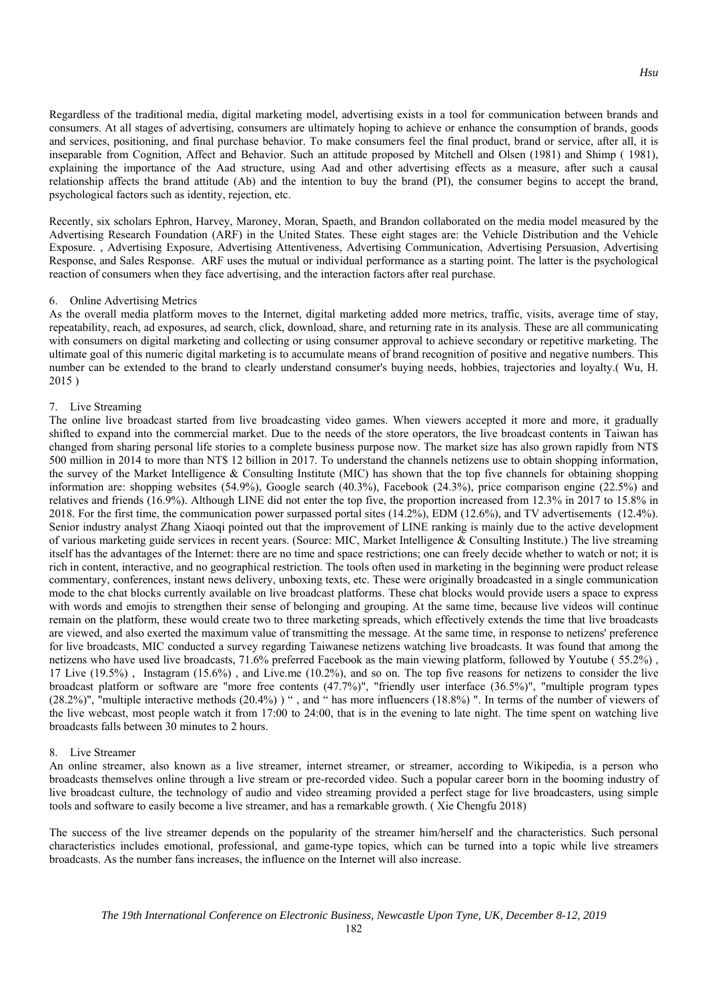Regardless of the traditional media, digital marketing model, advertising exists in a tool for communication between brands and consumers. At all stages of advertising, consumers are ultimately hoping to achieve or enhance the consumption of brands, goods and services, positioning, and final purchase behavior. To make consumers feel the final product, brand or service, after all, it is inseparable from Cognition, Affect and Behavior. Such an attitude proposed by Mitchell and Olsen (1981) and Shimp ( 1981), explaining the importance of the Aad structure, using Aad and other advertising effects as a measure, after such a causal relationship affects the brand attitude (Ab) and the intention to buy the brand (PI), the consumer begins to accept the brand, psychological factors such as identity, rejection, etc.

Recently, six scholars Ephron, Harvey, Maroney, Moran, Spaeth, and Brandon collaborated on the media model measured by the Advertising Research Foundation (ARF) in the United States. These eight stages are: the Vehicle Distribution and the Vehicle Exposure. , Advertising Exposure, Advertising Attentiveness, Advertising Communication, Advertising Persuasion, Advertising Response, and Sales Response. ARF uses the mutual or individual performance as a starting point. The latter is the psychological reaction of consumers when they face advertising, and the interaction factors after real purchase.

#### 6. Online Advertising Metrics

As the overall media platform moves to the Internet, digital marketing added more metrics, traffic, visits, average time of stay, repeatability, reach, ad exposures, ad search, click, download, share, and returning rate in its analysis. These are all communicating with consumers on digital marketing and collecting or using consumer approval to achieve secondary or repetitive marketing. The ultimate goal of this numeric digital marketing is to accumulate means of brand recognition of positive and negative numbers. This number can be extended to the brand to clearly understand consumer's buying needs, hobbies, trajectories and loyalty.( Wu, H. 2015 )

### 7. Live Streaming

The online live broadcast started from live broadcasting video games. When viewers accepted it more and more, it gradually shifted to expand into the commercial market. Due to the needs of the store operators, the live broadcast contents in Taiwan has changed from sharing personal life stories to a complete business purpose now. The market size has also grown rapidly from NT\$ 500 million in 2014 to more than NT\$ 12 billion in 2017. To understand the channels netizens use to obtain shopping information, the survey of the Market Intelligence & Consulting Institute (MIC) has shown that the top five channels for obtaining shopping information are: shopping websites (54.9%), Google search (40.3%), Facebook (24.3%), price comparison engine (22.5%) and relatives and friends (16.9%). Although LINE did not enter the top five, the proportion increased from 12.3% in 2017 to 15.8% in 2018. For the first time, the communication power surpassed portal sites (14.2%), EDM (12.6%), and TV advertisements (12.4%). Senior industry analyst Zhang Xiaoqi pointed out that the improvement of LINE ranking is mainly due to the active development of various marketing guide services in recent years. (Source: MIC, Market Intelligence & Consulting Institute.) The live streaming itself has the advantages of the Internet: there are no time and space restrictions; one can freely decide whether to watch or not; it is rich in content, interactive, and no geographical restriction. The tools often used in marketing in the beginning were product release commentary, conferences, instant news delivery, unboxing texts, etc. These were originally broadcasted in a single communication mode to the chat blocks currently available on live broadcast platforms. These chat blocks would provide users a space to express with words and emojis to strengthen their sense of belonging and grouping. At the same time, because live videos will continue remain on the platform, these would create two to three marketing spreads, which effectively extends the time that live broadcasts are viewed, and also exerted the maximum value of transmitting the message. At the same time, in response to netizens' preference for live broadcasts, MIC conducted a survey regarding Taiwanese netizens watching live broadcasts. It was found that among the netizens who have used live broadcasts, 71.6% preferred Facebook as the main viewing platform, followed by Youtube ( 55.2%) , 17 Live (19.5%) , Instagram (15.6%) , and Live.me (10.2%), and so on. The top five reasons for netizens to consider the live broadcast platform or software are "more free contents (47.7%)", "friendly user interface (36.5%)", "multiple program types (28.2%)", "multiple interactive methods (20.4%) ) " , and " has more influencers (18.8%) ". In terms of the number of viewers of the live webcast, most people watch it from 17:00 to 24:00, that is in the evening to late night. The time spent on watching live broadcasts falls between 30 minutes to 2 hours.

# 8. Live Streamer

An online streamer, also known as a live streamer, internet streamer, or streamer, according to Wikipedia, is a person who broadcasts themselves online through a live stream or pre-recorded video. Such a popular career born in the booming industry of live broadcast culture, the technology of audio and video streaming provided a perfect stage for live broadcasters, using simple tools and software to easily become a live streamer, and has a remarkable growth. ( Xie Chengfu 2018)

The success of the live streamer depends on the popularity of the streamer him/herself and the characteristics. Such personal characteristics includes emotional, professional, and game-type topics, which can be turned into a topic while live streamers broadcasts. As the number fans increases, the influence on the Internet will also increase.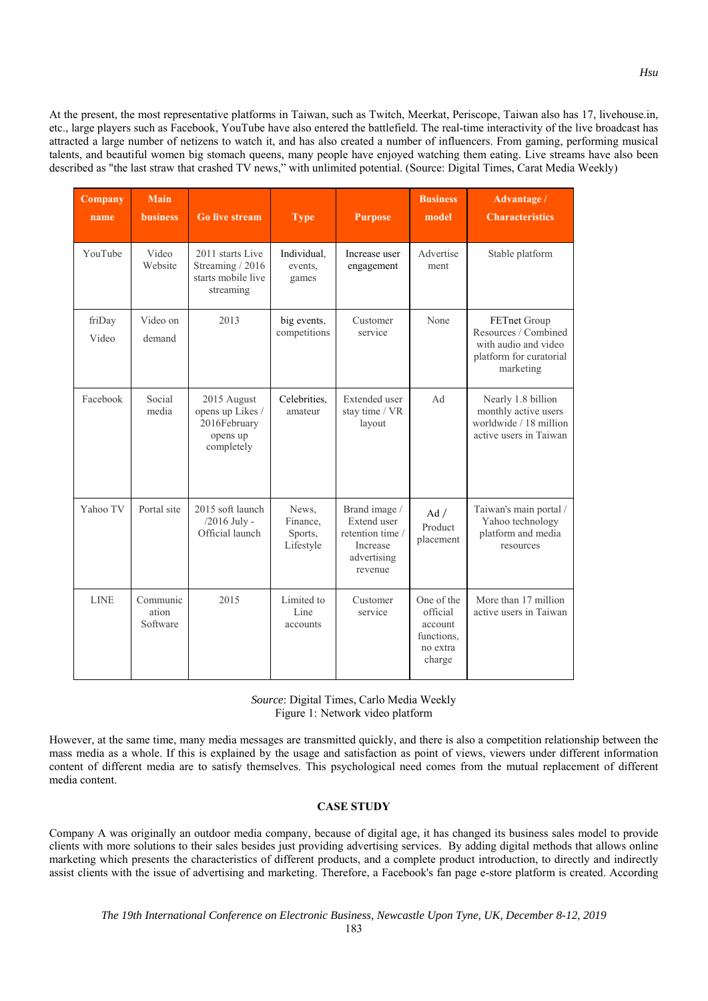At the present, the most representative platforms in Taiwan, such as Twitch, Meerkat, Periscope, Taiwan also has 17, livehouse.in, etc., large players such as Facebook, YouTube have also entered the battlefield. The real-time interactivity of the live broadcast has attracted a large number of netizens to watch it, and has also created a number of influencers. From gaming, performing musical talents, and beautiful women big stomach queens, many people have enjoyed watching them eating. Live streams have also been described as "the last straw that crashed TV news," with unlimited potential. (Source: Digital Times, Carat Media Weekly)

| Company<br>name | <b>Main</b><br><b>business</b> | <b>Go live stream</b>                                                     | <b>Type</b>                               | <b>Purpose</b>                                                                         | <b>Business</b><br>model                                              | <b>Advantage</b> /<br><b>Characteristics</b>                                                         |
|-----------------|--------------------------------|---------------------------------------------------------------------------|-------------------------------------------|----------------------------------------------------------------------------------------|-----------------------------------------------------------------------|------------------------------------------------------------------------------------------------------|
| YouTube         | Video<br>Website               | 2011 starts Live<br>Streaming / 2016<br>starts mobile live<br>streaming   | Individual,<br>events,<br>games           | Increase user<br>engagement                                                            | Advertise<br>ment                                                     | Stable platform                                                                                      |
| friDay<br>Video | Video on<br>demand             | 2013                                                                      | big events,<br>competitions               | Customer<br>service                                                                    | None                                                                  | FETnet Group<br>Resources / Combined<br>with audio and video<br>platform for curatorial<br>marketing |
| Facebook        | Social<br>media                | 2015 August<br>opens up Likes /<br>2016February<br>opens up<br>completely | Celebrities,<br>amateur                   | <b>Extended</b> user<br>stay time / VR<br>layout                                       | Ad                                                                    | Nearly 1.8 billion<br>monthly active users<br>worldwide / 18 million<br>active users in Taiwan       |
| Yahoo TV        | Portal site                    | 2015 soft launch<br>/2016 July -<br>Official launch                       | News,<br>Finance,<br>Sports,<br>Lifestyle | Brand image /<br>Extend user<br>retention time /<br>Increase<br>advertising<br>revenue | Ad/<br>Product<br>placement                                           | Taiwan's main portal /<br>Yahoo technology<br>platform and media<br>resources                        |
| <b>LINE</b>     | Communic<br>ation<br>Software  | 2015                                                                      | Limited to<br>Line<br>accounts            | Customer<br>service                                                                    | One of the<br>official<br>account<br>functions.<br>no extra<br>charge | More than 17 million<br>active users in Taiwan                                                       |

# *Source*: Digital Times, Carlo Media Weekly Figure 1: Network video platform

However, at the same time, many media messages are transmitted quickly, and there is also a competition relationship between the mass media as a whole. If this is explained by the usage and satisfaction as point of views, viewers under different information content of different media are to satisfy themselves. This psychological need comes from the mutual replacement of different media content.

# **CASE STUDY**

Company A was originally an outdoor media company, because of digital age, it has changed its business sales model to provide clients with more solutions to their sales besides just providing advertising services. By adding digital methods that allows online marketing which presents the characteristics of different products, and a complete product introduction, to directly and indirectly assist clients with the issue of advertising and marketing. Therefore, a Facebook's fan page e-store platform is created. According

*Hsu*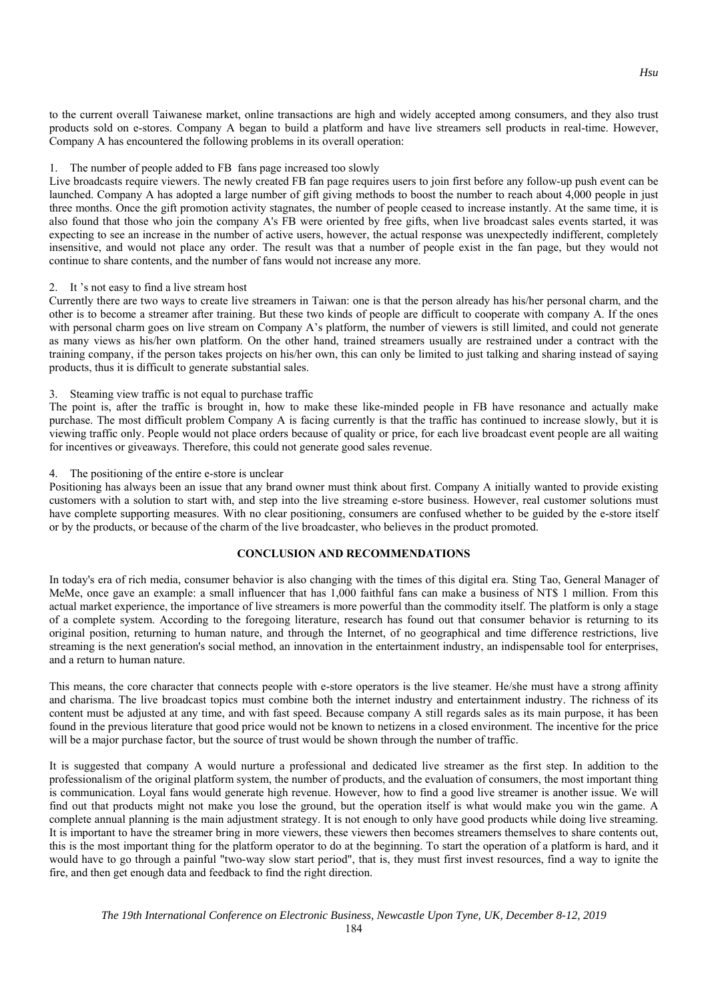to the current overall Taiwanese market, online transactions are high and widely accepted among consumers, and they also trust products sold on e-stores. Company A began to build a platform and have live streamers sell products in real-time. However, Company A has encountered the following problems in its overall operation:

## 1. The number of people added to FB fans page increased too slowly

Live broadcasts require viewers. The newly created FB fan page requires users to join first before any follow-up push event can be launched. Company A has adopted a large number of gift giving methods to boost the number to reach about 4,000 people in just three months. Once the gift promotion activity stagnates, the number of people ceased to increase instantly. At the same time, it is also found that those who join the company A's FB were oriented by free gifts, when live broadcast sales events started, it was expecting to see an increase in the number of active users, however, the actual response was unexpectedly indifferent, completely insensitive, and would not place any order. The result was that a number of people exist in the fan page, but they would not continue to share contents, and the number of fans would not increase any more.

### 2. It 's not easy to find a live stream host

Currently there are two ways to create live streamers in Taiwan: one is that the person already has his/her personal charm, and the other is to become a streamer after training. But these two kinds of people are difficult to cooperate with company A. If the ones with personal charm goes on live stream on Company A's platform, the number of viewers is still limited, and could not generate as many views as his/her own platform. On the other hand, trained streamers usually are restrained under a contract with the training company, if the person takes projects on his/her own, this can only be limited to just talking and sharing instead of saying products, thus it is difficult to generate substantial sales.

### 3. Steaming view traffic is not equal to purchase traffic

The point is, after the traffic is brought in, how to make these like-minded people in FB have resonance and actually make purchase. The most difficult problem Company A is facing currently is that the traffic has continued to increase slowly, but it is viewing traffic only. People would not place orders because of quality or price, for each live broadcast event people are all waiting for incentives or giveaways. Therefore, this could not generate good sales revenue.

## 4. The positioning of the entire e-store is unclear

Positioning has always been an issue that any brand owner must think about first. Company A initially wanted to provide existing customers with a solution to start with, and step into the live streaming e-store business. However, real customer solutions must have complete supporting measures. With no clear positioning, consumers are confused whether to be guided by the e-store itself or by the products, or because of the charm of the live broadcaster, who believes in the product promoted.

# **CONCLUSION AND RECOMMENDATIONS**

In today's era of rich media, consumer behavior is also changing with the times of this digital era. Sting Tao, General Manager of MeMe, once gave an example: a small influencer that has 1,000 faithful fans can make a business of NT\$ 1 million. From this actual market experience, the importance of live streamers is more powerful than the commodity itself. The platform is only a stage of a complete system. According to the foregoing literature, research has found out that consumer behavior is returning to its original position, returning to human nature, and through the Internet, of no geographical and time difference restrictions, live streaming is the next generation's social method, an innovation in the entertainment industry, an indispensable tool for enterprises, and a return to human nature.

This means, the core character that connects people with e-store operators is the live steamer. He/she must have a strong affinity and charisma. The live broadcast topics must combine both the internet industry and entertainment industry. The richness of its content must be adjusted at any time, and with fast speed. Because company A still regards sales as its main purpose, it has been found in the previous literature that good price would not be known to netizens in a closed environment. The incentive for the price will be a major purchase factor, but the source of trust would be shown through the number of traffic.

It is suggested that company A would nurture a professional and dedicated live streamer as the first step. In addition to the professionalism of the original platform system, the number of products, and the evaluation of consumers, the most important thing is communication. Loyal fans would generate high revenue. However, how to find a good live streamer is another issue. We will find out that products might not make you lose the ground, but the operation itself is what would make you win the game. A complete annual planning is the main adjustment strategy. It is not enough to only have good products while doing live streaming. It is important to have the streamer bring in more viewers, these viewers then becomes streamers themselves to share contents out, this is the most important thing for the platform operator to do at the beginning. To start the operation of a platform is hard, and it would have to go through a painful "two-way slow start period", that is, they must first invest resources, find a way to ignite the fire, and then get enough data and feedback to find the right direction.